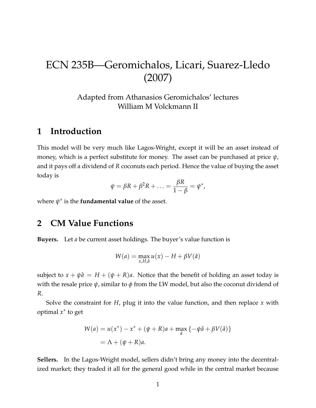# ECN 235B—Geromichalos, Licari, Suarez-Lledo (2007)

Adapted from Athanasios Geromichalos' lectures William M Volckmann II

### **1 Introduction**

This model will be very much like Lagos-Wright, except it will be an asset instead of money, which is a perfect substitute for money. The asset can be purchased at price *ψ*, and it pays off a dividend of *R* coconuts each period. Hence the value of buying the asset today is

$$
\psi = \beta R + \beta^2 R + \ldots = \frac{\beta R}{1 - \beta} = \psi^*,
$$

where *ψ* ∗ is the **fundamental value** of the asset.

# **2 CM Value Functions**

**Buyers.** Let *a* be current asset holdings. The buyer's value function is

$$
W(a) = \max_{x, H, \hat{a}} u(x) - H + \beta V(\hat{a})
$$

subject to  $x + \psi \hat{a} = H + (\psi + R)a$ . Notice that the benefit of holding an asset today is with the resale price *ψ*, similar to *ϕ* from the LW model, but also the coconut dividend of *R*.

Solve the constraint for *H*, plug it into the value function, and then replace *x* with optimal *x* ∗ to get

$$
W(a) = u(x^*) - x^* + (\psi + R)a + \max_{\hat{a}} \{-\psi \hat{a} + \beta V(\hat{a})\}
$$
  
=  $\Lambda + (\psi + R)a$ .

**Sellers.** In the Lagos-Wright model, sellers didn't bring any money into the decentralized market; they traded it all for the general good while in the central market because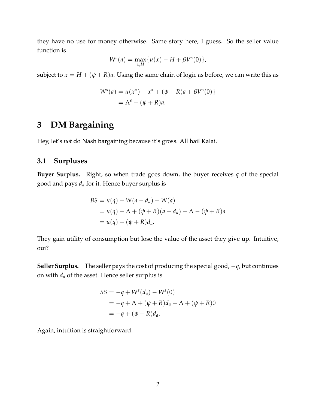they have no use for money otherwise. Same story here, I guess. So the seller value function is

$$
W^{s}(a) = \max_{x,H} \{ u(x) - H + \beta V^{s}(0) \},
$$

subject to  $x = H + (\psi + R)a$ . Using the same chain of logic as before, we can write this as

$$
W^{s}(a) = u(x^{*}) - x^{*} + (\psi + R)a + \beta V^{s}(0)
$$
  
=  $\Lambda^{s} + (\psi + R)a$ .

# **3 DM Bargaining**

Hey, let's *not* do Nash bargaining because it's gross. All hail Kalai.

### **3.1 Surpluses**

**Buyer Surplus.** Right, so when trade goes down, the buyer receives *q* of the special good and pays *d<sup>a</sup>* for it. Hence buyer surplus is

$$
BS = u(q) + W(a - d_a) - W(a)
$$
  
=  $u(q) + \Lambda + (\psi + R)(a - d_a) - \Lambda - (\psi + R)a$   
=  $u(q) - (\psi + R)d_a$ .

They gain utility of consumption but lose the value of the asset they give up. Intuitive, oui?

**Seller Surplus.** The seller pays the cost of producing the special good, −*q*, but continues on with  $d_a$  of the asset. Hence seller surplus is

$$
SS = -q + W^{s}(d_{a}) - W^{s}(0)
$$
  
= -q + \Lambda + (\psi + R)d\_{a} - \Lambda + (\psi + R)0  
= -q + (\psi + R)d\_{a}.

Again, intuition is straightforward.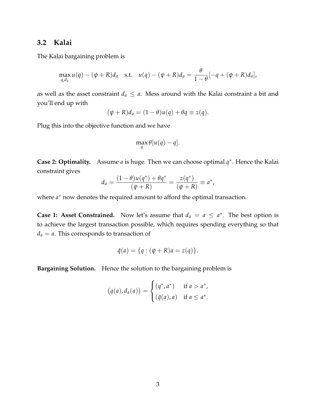#### **3.2 Kalai**

The Kalai bargaining problem is

$$
\max_{q,d_a} u(q) - (\psi + R)d_a \quad \text{s.t.} \quad u(q) - (\psi + R)d_a = \frac{\theta}{1-\theta}[-q + (\psi + R)d_a],
$$

as well as the asset constraint  $d_a \le a$ . Mess around with the Kalai constraint a bit and you'll end up with

$$
(\psi + R)d_a = (1 - \theta)u(q) + \theta q \equiv z(q).
$$

Plug this into the objective function and we have

$$
\max_{q} \theta[u(q) - q].
$$

**Case 2: Optimality.** Assume *a* is huge. Then we can choose optimal *q* ∗ . Hence the Kalai constraint gives

$$
d_a = \frac{(1 - \theta)u(q^*) + \theta q^*}{(\psi + R)} = \frac{z(q^*)}{(\psi + R)} \equiv a^*,
$$

where  $a^*$  now denotes the required amount to afford the optimal transaction.

**Case 1: Asset Constrained.** Now let's assume that  $d_a = a \le a^*$ . The best option is to achieve the largest transaction possible, which requires spending everything so that  $d_a = a$ . This corresponds to transaction of

$$
\tilde{q}(a) = \{q : (\psi + R)a = z(q)\}.
$$

**Bargaining Solution.** Hence the solution to the bargaining problem is

$$
(q(a), d_a(a)) = \begin{cases} (q^*, a^*) & \text{if } a > a^*, \\ (\tilde{q}(a), a) & \text{if } a \leq a^*. \end{cases}
$$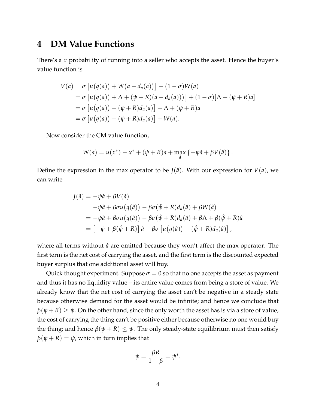### **4 DM Value Functions**

There's a  $\sigma$  probability of running into a seller who accepts the asset. Hence the buyer's value function is

$$
V(a) = \sigma \left[ u(q(a)) + W(a - d_a(a)) \right] + (1 - \sigma)W(a)
$$
  
=  $\sigma \left[ u(q(a)) + \Lambda + (\psi + R)(a - d_a(a)) \right] + (1 - \sigma)[\Lambda + (\psi + R)a]$   
=  $\sigma \left[ u(q(a)) - (\psi + R)d_a(a) \right] + \Lambda + (\psi + R)a$   
=  $\sigma \left[ u(q(a)) - (\psi + R)d_a(a) \right] + W(a).$ 

Now consider the CM value function,

$$
W(a) = u(x^*) - x^* + (\psi + R)a + \max_{\hat{a}} \{-\psi \hat{a} + \beta V(\hat{a})\}.
$$

Define the expression in the max operator to be  $J(\hat{a})$ . With our expression for  $V(a)$ , we can write

$$
J(\hat{a}) = -\psi \hat{a} + \beta V(\hat{a})
$$
  
=  $-\psi \hat{a} + \beta \sigma u (q(\hat{a})) - \beta \sigma (\hat{\psi} + R) d_a(\hat{a}) + \beta W(\hat{a})$   
=  $-\psi \hat{a} + \beta \sigma u (q(\hat{a})) - \beta \sigma (\hat{\psi} + R) d_a(\hat{a}) + \beta \Lambda + \beta (\hat{\psi} + R) \hat{a}$   
=  $[-\psi + \beta (\hat{\psi} + R)] \hat{a} + \beta \sigma [u (q(\hat{a})) - (\hat{\psi} + R) d_a(\hat{a})],$ 

where all terms without  $\hat{a}$  are omitted because they won't affect the max operator. The first term is the net cost of carrying the asset, and the first term is the discounted expected buyer surplus that one additional asset will buy.

Quick thought experiment. Suppose  $\sigma = 0$  so that no one accepts the asset as payment and thus it has no liquidity value – its entire value comes from being a store of value. We already know that the net cost of carrying the asset can't be negative in a steady state because otherwise demand for the asset would be infinite; and hence we conclude that  $\beta(\psi + R) \geq \psi$ . On the other hand, since the only worth the asset has is via a store of value, the cost of carrying the thing can't be positive either because otherwise no one would buy the thing; and hence  $\beta(\psi + R) \leq \psi$ . The only steady-state equilibrium must then satisfy  $\beta(\psi + R) = \psi$ , which in turn implies that

$$
\psi = \frac{\beta R}{1 - \beta} = \psi^*.
$$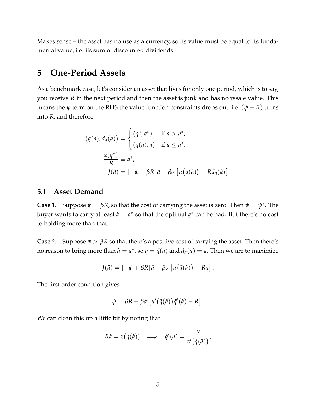Makes sense – the asset has no use as a currency, so its value must be equal to its fundamental value, i.e. its sum of discounted dividends.

### **5 One-Period Assets**

As a benchmark case, let's consider an asset that lives for only one period, which is to say, you receive *R* in the next period and then the asset is junk and has no resale value. This means the  $\psi$  term on the RHS the value function constraints drops out, i.e.  $(\psi + R)$  turns into *R*, and therefore

$$
(q(a), d_a(a)) = \begin{cases} (q^*, a^*) & \text{if } a > a^*, \\ (\tilde{q}(a), a) & \text{if } a \le a^*, \end{cases}
$$

$$
\frac{z(q^*)}{R} \equiv a^*,
$$

$$
J(\hat{a}) = [-\psi + \beta R] \hat{a} + \beta \sigma [u(q(\hat{a})) - Rd_a(\hat{a})]
$$

.

#### **5.1 Asset Demand**

**Case 1.** Suppose  $\psi = \beta R$ , so that the cost of carrying the asset is zero. Then  $\psi = \psi^*$ . The buyer wants to carry at least  $\hat{a} = a^*$  so that the optimal  $q^*$  can be had. But there's no cost to holding more than that.

**Case 2.** Suppose  $\psi > \beta R$  so that there's a positive cost of carrying the asset. Then there's no reason to bring more than  $\hat{a} = a^*$ , so  $q = \tilde{q}(a)$  and  $d_a(a) = a$ . Then we are to maximize

$$
J(\hat{a}) = [-\psi + \beta R] \hat{a} + \beta \sigma \left[ u(\tilde{q}(\hat{a})) - Ra \right].
$$

The first order condition gives

$$
\psi = \beta R + \beta \sigma \left[ u'(\tilde{q}(\hat{a}))\tilde{q}'(\hat{a}) - R \right].
$$

We can clean this up a little bit by noting that

$$
R\hat{a} = z(q(\hat{a})) \implies \tilde{q}'(\hat{a}) = \frac{R}{z'(\tilde{q}(\hat{a}))},
$$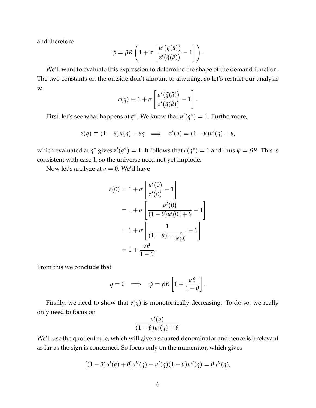and therefore

$$
\psi = \beta R \left( 1 + \sigma \left[ \frac{u'(\tilde{q}(\hat{a}))}{z'(\tilde{q}(\hat{a}))} - 1 \right] \right).
$$

We'll want to evaluate this expression to determine the shape of the demand function. The two constants on the outside don't amount to anything, so let's restrict our analysis to

$$
e(q) \equiv 1 + \sigma \left[ \frac{u'(\tilde{q}(\hat{a}))}{z'(\tilde{q}(\hat{a}))} - 1 \right]
$$

.

First, let's see what happens at  $q^*$ . We know that  $u'(q^*) = 1$ . Furthermore,

$$
z(q) \equiv (1 - \theta)u(q) + \theta q \implies z'(q) = (1 - \theta)u'(q) + \theta,
$$

which evaluated at  $q^*$  gives  $z'(q^*) = 1$ . It follows that  $e(q^*) = 1$  and thus  $\psi = \beta R$ . This is consistent with case 1, so the universe need not yet implode.

Now let's analyze at  $q = 0$ . We'd have

$$
e(0) = 1 + \sigma \left[ \frac{u'(0)}{z'(0)} - 1 \right]
$$
  
= 1 + \sigma \left[ \frac{u'(0)}{(1 - \theta)u'(0) + \theta} - 1 \right]  
= 1 + \sigma \left[ \frac{1}{(1 - \theta) + \frac{\theta}{u'(0)}} - 1 \right]  
= 1 + \frac{\sigma \theta}{1 - \theta}.

From this we conclude that

$$
q = 0 \implies \psi = \beta R \left[ 1 + \frac{\sigma \theta}{1 - \theta} \right].
$$

Finally, we need to show that  $e(q)$  is monotonically decreasing. To do so, we really only need to focus on

$$
\frac{u'(q)}{(1-\theta)u'(q)+\theta}.
$$

We'll use the quotient rule, which will give a squared denominator and hence is irrelevant as far as the sign is concerned. So focus only on the numerator, which gives

$$
[(1 - \theta)u'(q) + \theta]u''(q) - u'(q)(1 - \theta)u''(q) = \theta u''(q),
$$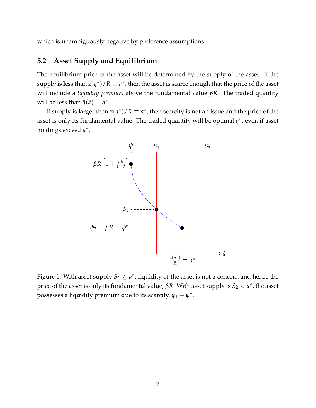which is unambiguously negative by preference assumptions.

### **5.2 Asset Supply and Equilibrium**

The equilibrium price of the asset will be determined by the supply of the asset. If the supply is less than  $z(q^*)/R \equiv a^*$ , then the asset is scarce enough that the price of the asset will include a *liquidity premium* above the fundamental value *βR*. The traded quantity will be less than  $\tilde{q}(\hat{a}) = q^*$ .

If supply is larger than  $z(q^*)/R \equiv a^*$ , then scarcity is not an issue and the price of the asset is only its fundamental value. The traded quantity will be optimal  $q^*$ , even if asset holdings exceed *a* ∗ .



Figure 1: With asset supply  $S_2 \geq a^*$ , liquidity of the asset is not a concern and hence the price of the asset is only its fundamental value,  $\beta R$ . With asset supply is  $S_2 < a^*$ , the asset possesses a liquidity premium due to its scarcity,  $\psi_1 - \psi^*$ .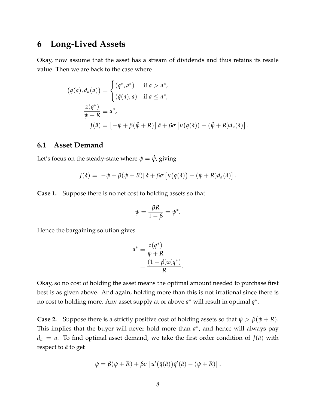### **6 Long-Lived Assets**

Okay, now assume that the asset has a stream of dividends and thus retains its resale value. Then we are back to the case where

$$
(q(a), d_a(a)) = \begin{cases} (q^*, a^*) & \text{if } a > a^*, \\ (\tilde{q}(a), a) & \text{if } a \leq a^*, \end{cases}
$$

$$
\frac{z(q^*)}{\psi + R} \equiv a^*,
$$

$$
J(\hat{a}) = [-\psi + \beta(\hat{\psi} + R)] \hat{a} + \beta \sigma [u(q(\hat{a})) - (\hat{\psi} + R) d_a(\hat{a})].
$$

#### **6.1 Asset Demand**

Let's focus on the steady-state where  $\psi = \hat{\psi}$ , giving

$$
J(\hat{a}) = \left[ -\psi + \beta(\psi + R) \right] \hat{a} + \beta \sigma \left[ u(q(\hat{a})) - (\psi + R) d_a(\hat{a}) \right].
$$

**Case 1.** Suppose there is no net cost to holding assets so that

$$
\psi = \frac{\beta R}{1 - \beta} = \psi^*.
$$

Hence the bargaining solution gives

$$
a^* \equiv \frac{z(q^*)}{\psi + R}
$$
  
= 
$$
\frac{(1 - \beta)z(q^*)}{R}.
$$

Okay, so no cost of holding the asset means the optimal amount needed to purchase first best is as given above. And again, holding more than this is not irrational since there is no cost to holding more. Any asset supply at or above *a*<sup>\*</sup> will result in optimal *q*<sup>\*</sup>.

**Case 2.** Suppose there is a strictly positive cost of holding assets so that  $\psi > \beta(\psi + R)$ . This implies that the buyer will never hold more than  $a^*$ , and hence will always pay  $d_a = a$ . To find optimal asset demand, we take the first order condition of  $J(\hat{a})$  with respect to  $\hat{a}$  to get

$$
\psi = \beta(\psi + R) + \beta \sigma \left[ u'(\tilde{q}(\hat{a}))\tilde{q}'(\hat{a}) - (\psi + R) \right].
$$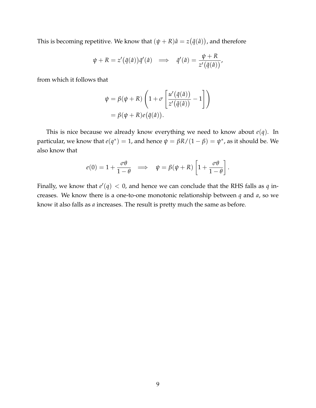This is becoming repetitive. We know that  $(\psi + R)\hat{a} = z(\tilde{q}(\hat{a}))$ , and therefore

$$
\psi + R = z'(\tilde{q}(\hat{a}))\tilde{q}'(\hat{a}) \implies \tilde{q}'(\hat{a}) = \frac{\psi + R}{z'(\tilde{q}(\hat{a}))},
$$

from which it follows that

$$
\psi = \beta(\psi + R) \left( 1 + \sigma \left[ \frac{u'(\tilde{q}(\hat{a}))}{z'(\tilde{q}(\hat{a}))} - 1 \right] \right)
$$

$$
= \beta(\psi + R) e(\tilde{q}(\hat{a})).
$$

This is nice because we already know everything we need to know about  $e(q)$ . In particular, we know that  $e(q^*) = 1$ , and hence  $\psi = \beta R/(1-\beta) = \psi^*$ , as it should be. We also know that

$$
e(0) = 1 + \frac{\sigma \theta}{1 - \theta} \implies \psi = \beta(\psi + R) \left[ 1 + \frac{\sigma \theta}{1 - \theta} \right].
$$

Finally, we know that  $e'(q) < 0$ , and hence we can conclude that the RHS falls as  $q$  increases. We know there is a one-to-one monotonic relationship between *q* and *a*, so we know it also falls as *a* increases. The result is pretty much the same as before.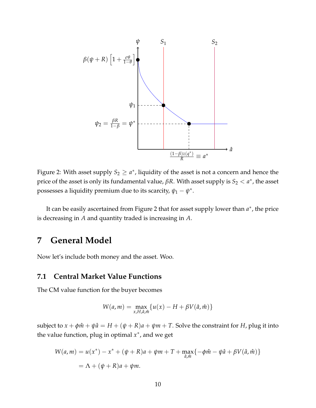

Figure 2: With asset supply  $S_2 \geq a^*$ , liquidity of the asset is not a concern and hence the price of the asset is only its fundamental value,  $\beta R$ . With asset supply is  $S_2 < a^*$ , the asset possesses a liquidity premium due to its scarcity,  $\psi_1 - \psi^*$ .

It can be easily ascertained from Figure 2 that for asset supply lower than  $a^*$ , the price is decreasing in *A* and quantity traded is increasing in *A*.

# **7 General Model**

Now let's include both money and the asset. Woo.

#### **7.1 Central Market Value Functions**

The CM value function for the buyer becomes

$$
W(a,m) = \max_{x,H,\hat{a},\hat{m}} \{u(x) - H + \beta V(\hat{a},\hat{m})\}
$$

subject to  $x + \phi \hat{m} + \psi \hat{a} = H + (\psi + R)a + \psi m + T$ . Solve the constraint for *H*, plug it into the value function, plug in optimal *x* ∗ , and we get

$$
W(a,m) = u(x^*) - x^* + (\psi + R)a + \psi m + T + \max_{\hat{a}, \hat{m}} \{-\phi \hat{m} - \psi \hat{a} + \beta V(\hat{a}, \hat{m})\}
$$
  
=  $\Lambda + (\psi + R)a + \psi m$ .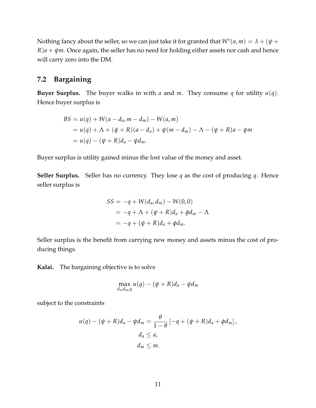Nothing fancy about the seller, so we can just take it for granted that  $W^s(a,m) = \lambda + (\psi + \lambda)$  $R$ ) $a + \psi m$ . Once again, the seller has no need for holding either assets nor cash and hence will carry zero into the DM.

### **7.2 Bargaining**

**Buyer Surplus.** The buyer walks in with *a* and *m*. They consume *q* for utility  $u(q)$ . Hence buyer surplus is

$$
BS = u(q) + W(a - d_a, m - d_m) - W(a, m)
$$
  
=  $u(q) + \Lambda + (\psi + R)(a - d_a) + \psi(m - d_m) - \Lambda - (\psi + R)a - \psi m$   
=  $u(q) - (\psi + R)d_a - \psi d_m$ .

Buyer surplus is utility gained minus the lost value of the money and asset.

**Seller Surplus.** Seller has no currency. They lose *q* as the cost of producing *q*. Hence seller surplus is

$$
SS = -q + W(d_a, d_m) - W(0, 0)
$$
  
= -q + \Lambda + (\psi + R)d\_a + \phi d\_m - \Lambda  
= -q + (\psi + R)d\_a + \phi d\_m.

Seller surplus is the benefit from carrying new money and assets minus the cost of producing things.

**Kalai.** The bargaining objective is to solve

$$
\max_{d_a,d_m,q} u(q) - (\psi + R)d_a - \psi d_m
$$

subject to the constraints

$$
u(q) - (\psi + R)d_a - \psi d_m = \frac{\theta}{1 - \theta} \left[ -q + (\psi + R)d_a + \phi d_m \right],
$$
  

$$
d_a \le a,
$$
  

$$
d_m \le m.
$$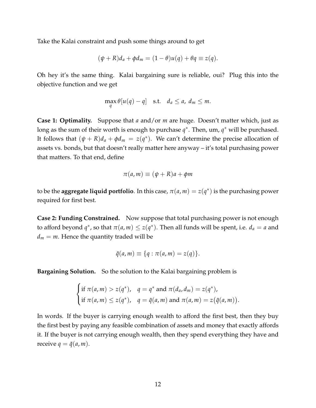Take the Kalai constraint and push some things around to get

$$
(\psi + R)d_a + \phi d_m = (1 - \theta)u(q) + \theta q \equiv z(q).
$$

Oh hey it's the same thing. Kalai bargaining sure is reliable, oui? Plug this into the objective function and we get

$$
\max_{q} \theta[u(q) - q] \quad \text{s.t.} \quad d_a \leq a, \ d_m \leq m.
$$

**Case 1: Optimality.** Suppose that *a* and/or *m* are huge. Doesn't matter which, just as long as the sum of their worth is enough to purchase  $q^*$ . Then, um,  $q^*$  will be purchased. It follows that  $(\psi + R)d_a + \phi d_m = z(q^*)$ . We can't determine the precise allocation of assets vs. bonds, but that doesn't really matter here anyway – it's total purchasing power that matters. To that end, define

$$
\pi(a,m) \equiv (\psi + R)a + \phi m
$$

to be the **aggregate liquid portfolio**. In this case,  $\pi(a,m) = z(q^*)$  is the purchasing power required for first best.

**Case 2: Funding Constrained.** Now suppose that total purchasing power is not enough to afford beyond  $q^*$ , so that  $\pi(a,m) \leq z(q^*)$ . Then all funds will be spent, i.e.  $d_a = a$  and  $d_m = m$ . Hence the quantity traded will be

$$
\tilde{q}(a,m) \equiv \{q : \pi(a,m) = z(q)\}.
$$

**Bargaining Solution.** So the solution to the Kalai bargaining problem is

$$
\begin{cases} \text{if } \pi(a,m) > z(q^*), & q = q^* \text{ and } \pi(d_a, d_m) = z(q^*), \\ \text{if } \pi(a,m) \leq z(q^*), & q = \tilde{q}(a,m) \text{ and } \pi(a,m) = z(\tilde{q}(a,m)). \end{cases}
$$

In words. If the buyer is carrying enough wealth to afford the first best, then they buy the first best by paying any feasible combination of assets and money that exactly affords it. If the buyer is not carrying enough wealth, then they spend everything they have and receive  $q = \tilde{q}(a, m)$ .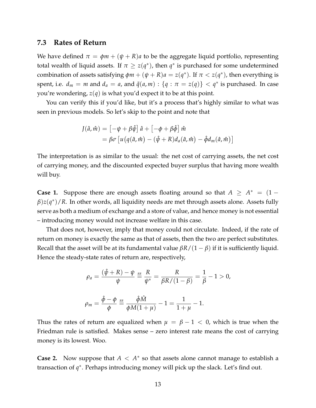#### **7.3 Rates of Return**

We have defined  $\pi = \phi m + (\psi + R)a$  to be the aggregate liquid portfolio, representing total wealth of liquid assets. If  $\pi \geq z(q^*)$ , then  $q^*$  is purchased for some undetermined combination of assets satisfying  $\phi$ *m* + ( $\psi$  + *R*) $a = z(q^*)$ . If  $\pi < z(q^*)$ , then everything is spent, i.e.  $d_m = m$  and  $d_a = a$ , and  $\tilde{q}(a, m) : \{q : \pi = z(q)\} < q^*$  is purchased. In case you're wondering, *z*(*q*) is what you'd expect it to be at this point.

You can verify this if you'd like, but it's a process that's highly similar to what was seen in previous models. So let's skip to the point and note that

$$
J(\hat{a}, \hat{m}) = [-\psi + \beta \hat{\psi}] \hat{a} + [-\phi + \beta \hat{\phi}] \hat{m}
$$
  
=  $\beta \sigma [u(q(\hat{a}, \hat{m}) - (\hat{\psi} + R)d_a(\hat{a}, \hat{m}) - \hat{\phi}d_m(\hat{a}, \hat{m})]$ 

The interpretation is as similar to the usual: the net cost of carrying assets, the net cost of carrying money, and the discounted expected buyer surplus that having more wealth will buy.

**Case 1.** Suppose there are enough assets floating around so that  $A \geq A^* = (1 \beta$ ) $z(q^*)$ /*R*. In other words, all liquidity needs are met through assets alone. Assets fully serve as both a medium of exchange and a store of value, and hence money is not essential – introducing money would not increase welfare in this case.

That does not, however, imply that money could not circulate. Indeed, if the rate of return on money is exactly the same as that of assets, then the two are perfect substitutes. Recall that the asset will be at its fundamental value  $\beta R/(1 - \beta)$  if it is sufficiently liquid. Hence the steady-state rates of return are, respectively,

$$
\rho_a = \frac{(\hat{\psi} + R) - \psi}{\psi} \stackrel{\text{ss}}{=} \frac{R}{\psi^*} = \frac{R}{\beta R / (1 - \beta)} = \frac{1}{\beta} - 1 > 0,
$$
\n
$$
\rho_m = \frac{\hat{\phi} - \phi}{\phi} \stackrel{\text{ss}}{=} \frac{\hat{\phi} \hat{M}}{\phi M (1 + \mu)} - 1 = \frac{1}{1 + \mu} - 1.
$$

Thus the rates of return are equalized when  $\mu = \beta - 1 < 0$ , which is true when the Friedman rule is satisfied. Makes sense – zero interest rate means the cost of carrying money is its lowest. Woo.

**Case 2.** Now suppose that  $A \leq A^*$  so that assets alone cannot manage to establish a transaction of q<sup>∗</sup>. Perhaps introducing money will pick up the slack. Let's find out.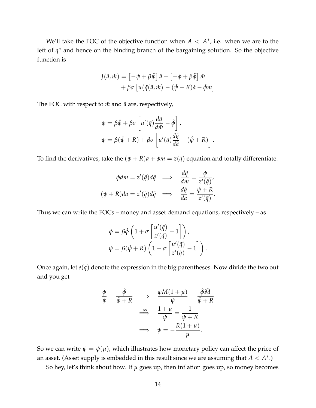We'll take the FOC of the objective function when  $A < A^*$ , i.e. when we are to the left of *q* <sup>∗</sup> and hence on the binding branch of the bargaining solution. So the objective function is

$$
J(\hat{a}, \hat{m}) = [-\psi + \beta \hat{\psi}] \hat{a} + [-\phi + \beta \hat{\phi}] \hat{m} + \beta \sigma [u(\tilde{q}(\hat{a}, \hat{m}) - (\hat{\psi} + R)\hat{a} - \hat{\phi}m]
$$

The FOC with respect to  $\hat{m}$  and  $\hat{a}$  are, respectively,

$$
\begin{aligned}\n\phi &= \beta \hat{\phi} + \beta \sigma \left[ u'(\tilde{q}) \frac{d\tilde{q}}{d\hat{m}} - \hat{\phi} \right], \\
\psi &= \beta (\hat{\psi} + R) + \beta \sigma \left[ u'(\tilde{q}) \frac{d\tilde{q}}{d\hat{a}} - (\hat{\psi} + R) \right].\n\end{aligned}
$$

To find the derivatives, take the  $(\psi + R)a + \phi m = z(\tilde{q})$  equation and totally differentiate:

$$
\begin{aligned}\n\phi dm &= z'(\tilde{q})d\tilde{q} \quad \Longrightarrow \quad \frac{d\tilde{q}}{dm} = \frac{\phi}{z'(\tilde{q})}, \\
(\psi + R)da &= z'(\tilde{q})d\tilde{q} \quad \Longrightarrow \quad \frac{d\tilde{q}}{da} = \frac{\psi + R}{z'(\tilde{q})}.\n\end{aligned}
$$

Thus we can write the FOCs – money and asset demand equations, respectively – as

$$
\phi = \beta \hat{\phi} \left( 1 + \sigma \left[ \frac{u'(\tilde{q})}{z'(\tilde{q})} - 1 \right] \right),
$$
  

$$
\psi = \beta(\hat{\psi} + R) \left( 1 + \sigma \left[ \frac{u'(\tilde{q})}{z'(\tilde{q})} - 1 \right] \right).
$$

Once again, let *e*(*q*) denote the expression in the big parentheses. Now divide the two out and you get

$$
\frac{\phi}{\psi} = \frac{\hat{\phi}}{\hat{\psi} + R} \implies \frac{\phi M(1 + \mu)}{\psi} = \frac{\hat{\phi} \hat{M}}{\hat{\psi} + R}
$$
\n
$$
\implies \frac{\text{ss}}{\psi} = \frac{1 + \mu}{\psi} = \frac{1}{\psi + R}
$$
\n
$$
\implies \psi = -\frac{R(1 + \mu)}{\mu}.
$$

So we can write  $\psi = \psi(\mu)$ , which illustrates how monetary policy can affect the price of an asset. (Asset supply is embedded in this result since we are assuming that  $A < A^*$ .)

So hey, let's think about how. If  $\mu$  goes up, then inflation goes up, so money becomes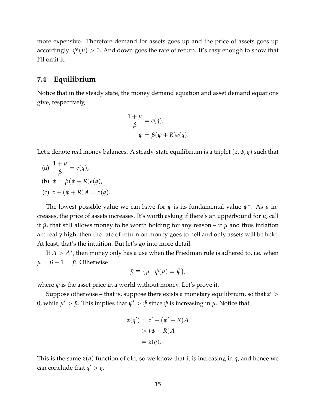more expensive. Therefore demand for assets goes up and the price of assets goes up accordingly:  $\psi'(\mu) > 0$ . And down goes the rate of return. It's easy enough to show that I'll omit it.

### **7.4 Equilibrium**

Notice that in the steady state, the money demand equation and asset demand equations give, respectively,

$$
\frac{1+\mu}{\beta} = e(q),
$$
  

$$
\psi = \beta(\psi + R)e(q).
$$

Let *z* denote real money balances. A steady-state equilibrium is a triplet  $(z, \psi, q)$  such that

(a)  $\frac{1 + \mu}{\sigma}$ *β*  $= e(q)$ ,

(b) 
$$
\psi = \beta(\psi + R)e(q)
$$
,

(c)  $z + (\psi + R)A = z(q)$ .

The lowest possible value we can have for  $\psi$  is its fundamental value  $\psi^*$ . As  $\mu$  increases, the price of assets increases. It's worth asking if there's an upperbound for *µ*, call it  $\bar{\mu}$ , that still allows money to be worth holding for any reason – if  $\mu$  and thus inflation are really high, then the rate of return on money goes to hell and only assets will be held. At least, that's the intuition. But let's go into more detail.

If  $A > A^*$ , then money only has a use when the Friedman rule is adhered to, i.e. when  $\mu = \beta - 1 = \bar{\mu}$ . Otherwise

$$
\bar{\mu} \equiv {\mu : \psi(\mu) = \bar{\psi}},
$$

where  $\bar{\psi}$  is the asset price in a world without money. Let's prove it.

Suppose otherwise – that is, suppose there exists a monetary equilibrium, so that  $z' >$ 0, while  $\mu' > \bar{\mu}$ . This implies that  $\psi' > \bar{\psi}$  since  $\psi$  is increasing in  $\mu$ . Notice that

$$
z(q') = z' + (\psi' + R)A
$$

$$
> (\bar{\psi} + R)A
$$

$$
= z(\bar{q}).
$$

This is the same  $z(q)$  function of old, so we know that it is increasing in  $q$ , and hence we can conclude that  $q' > \bar{q}$ .